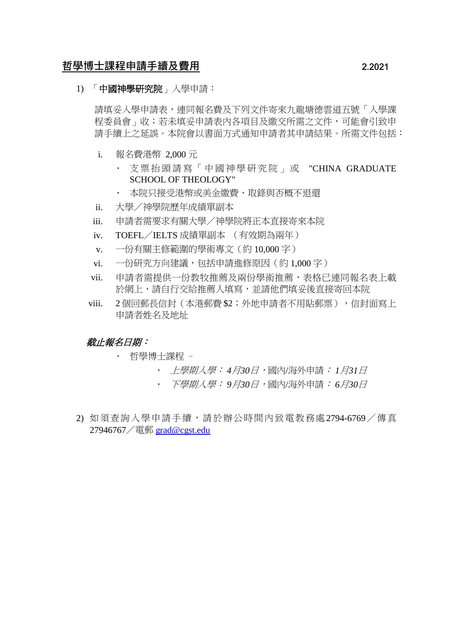# 哲學博士課程申請手續及費用 2.2021

## 1) 「中國神學研究院」入學申請:

請填妥入學申請表,連同報名費及下列文件寄來九龍塘德雲道五號「入學課 程委員會」收;若未填妥申請表內各項目及繳交所需之文件,可能會引致申 請手續上之延誤。本院會以書面方式通知申請者其申請結果。所需文件包括:

- i. 報名費港幣 2,000 元
	- · 支票抬頭請寫「中國神學研究院」或 "CHINA GRADUATE SCHOOL OF THEOLOGY"
	- 本院只接受港幣或美金繳費、取錄與否概不退還
- ii. 大學/神學院歷年成績單副本
- iii. 申請者需要求有關大學/神學院將正本直接寄來本院
- iv. TOEFL/IELTS 成績單副本 (有效期為兩年)
- v. 一份有關主修範圍的學術專文(約 10,000 字)
- vi. 一份研究方向建議,包括申請進修原因(約1,000字)
- vii. 申請者需提供一份教牧推薦及兩份學術推薦,表格已連同報名表上載 於網上,請自行交給推薦人填寫,並請他們填妥後直接寄回本院
- viii. 2個回郵長信封 (本港郵費 \$2;外地申請者不用貼郵票),信封面寫上 申請者姓名及地址

#### *截止報名日期:*

- 哲學博士課程
	- 上學期入學: *4*月*30*日,國內/海外申請: *1*月*31*日
		- 下學期入學: *9*月*30*日,國內/海外申請: *6*月*30*日
- 2) 如須查詢入學申請手續,請於辦公時間內致電教務處2794-6769/傳真 27946767/電郵 [grad@cgst.edu](mailto:grad@cgst.edu)